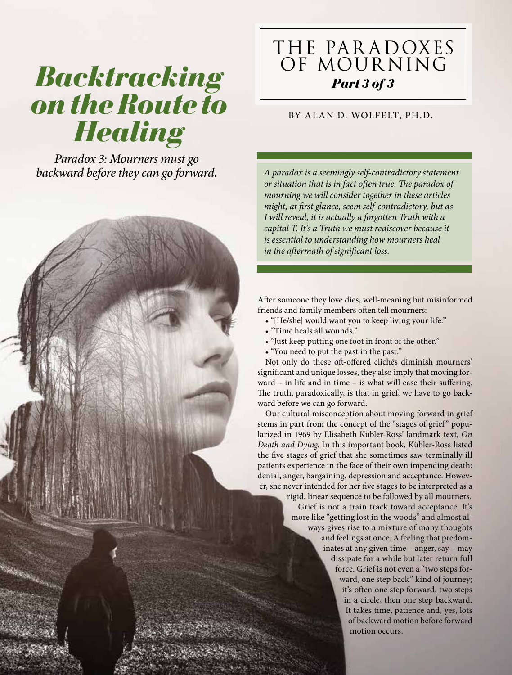# *Backtracking on the Route to Healing*

*Paradox 3: Mourners must go backward before they can go forward.*

# THE PAR ADOXES OF MOURNING *Part 3 of 3*

# BY ALAN D. WOLFELT, PH.D.

*A paradox is a seemingly self-contradictory statement or situation that is in fact often true. The paradox of mourning we will consider together in these articles might, at first glance, seem self-contradictory, but as I will reveal, it is actually a forgotten Truth with a capital T. It's a Truth we must rediscover because it is essential to understanding how mourners heal in the aftermath of significant loss.*

After someone they love dies, well-meaning but misinformed friends and family members often tell mourners:

- ◆ "[He/she] would want you to keep living your life."
- ◆ "Time heals all wounds."
- ◆ "Just keep putting one foot in front of the other."
- ◆ "You need to put the past in the past."

Not only do these oft-offered clichés diminish mourners' significant and unique losses, they also imply that moving forward – in life and in time – is what will ease their suffering. The truth, paradoxically, is that in grief, we have to go backward before we can go forward.

Our cultural misconception about moving forward in grief stems in part from the concept of the "stages of grief" popularized in 1969 by Elisabeth Kübler-Ross' landmark text, *On Death and Dying*. In this important book, Kübler-Ross listed the five stages of grief that she sometimes saw terminally ill patients experience in the face of their own impending death: denial, anger, bargaining, depression and acceptance. However, she never intended for her five stages to be interpreted as a

> rigid, linear sequence to be followed by all mourners. Grief is not a train track toward acceptance. It's more like "getting lost in the woods" and almost always gives rise to a mixture of many thoughts and feelings at once. A feeling that predominates at any given time – anger, say – may dissipate for a while but later return full force. Grief is not even a "two steps forward, one step back" kind of journey; it's often one step forward, two steps in a circle, then one step backward. It takes time, patience and, yes, lots of backward motion before forward motion occurs.